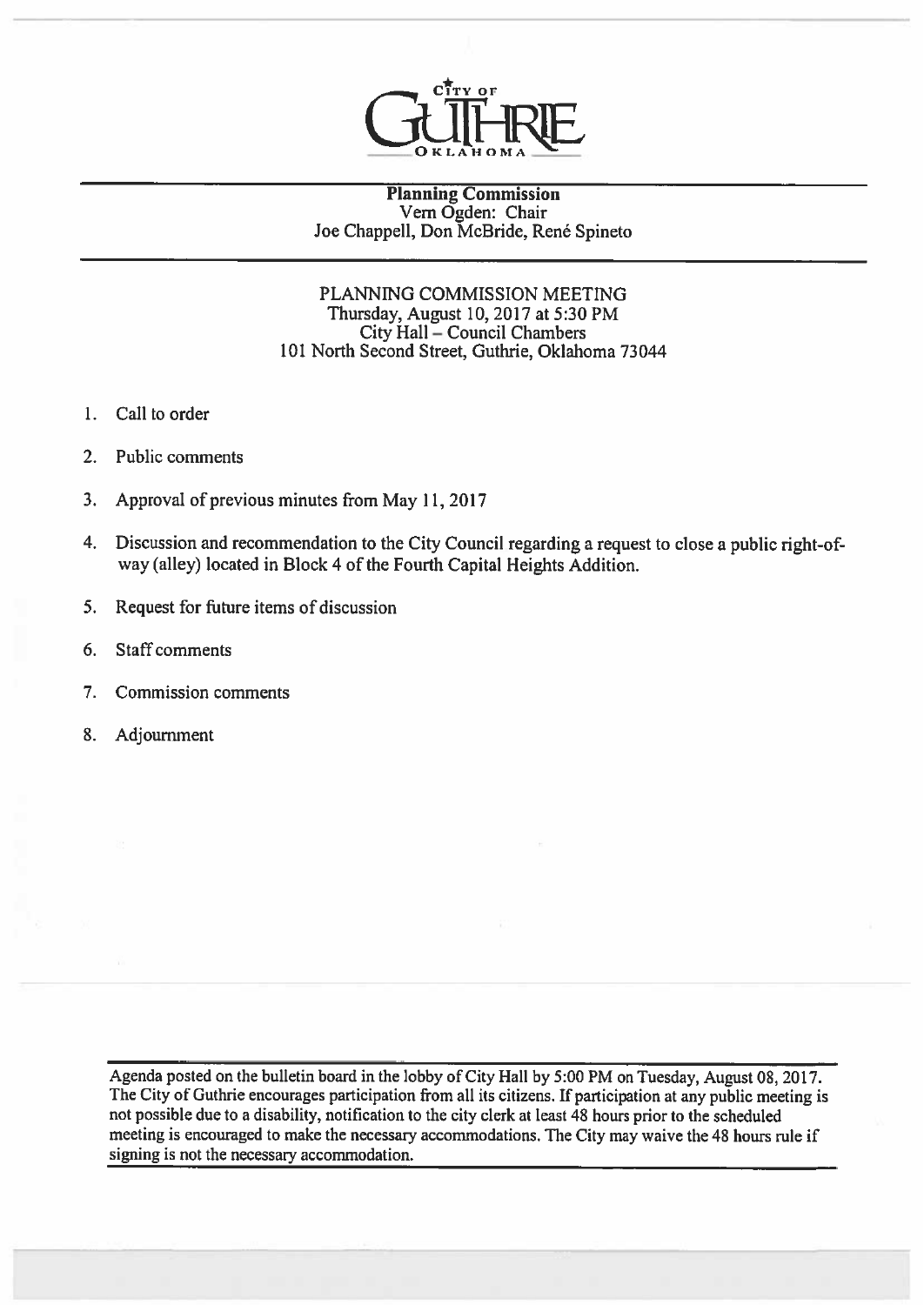

#### Planning Commission Vem Ogden: Chair Joe Chappell, Don McBride, René Spineto

# PLANNING COMMISSION MEETING Thursday, August 10, 2017 at 5:30 PM City Hall — Council Chambers 101 North Second Street, Guthrie, Oklahoma 73044

- 1. Call to order
- 2. Public comments
- 3. Approval of previous minutes from May 11,2017
- 4. Discussion and recommendation to the City Council regarding <sup>a</sup> reques<sup>t</sup> to close <sup>a</sup> public right-ofway (alley) located in Block 4 of the Fourth Capital Heights Addition.
- 5. Request for future items of discussion
- 6. Staff comments
- 7. Commission comments
- 8. Adjournment

Agenda posted on the bulletin board in the lobby of City Hall by 5:00 PM on Tuesday, August 08, 2017. The City of Guthrie encourages participation from all its citizens. If participation at any public meeting is not possible due to <sup>a</sup> disability, notification to the city clerk at least <sup>48</sup> hours prior to the scheduled meeting is encouraged to make the necessary accommodations. The City may waive the 48 hours rule if signing is not the necessary accommodation.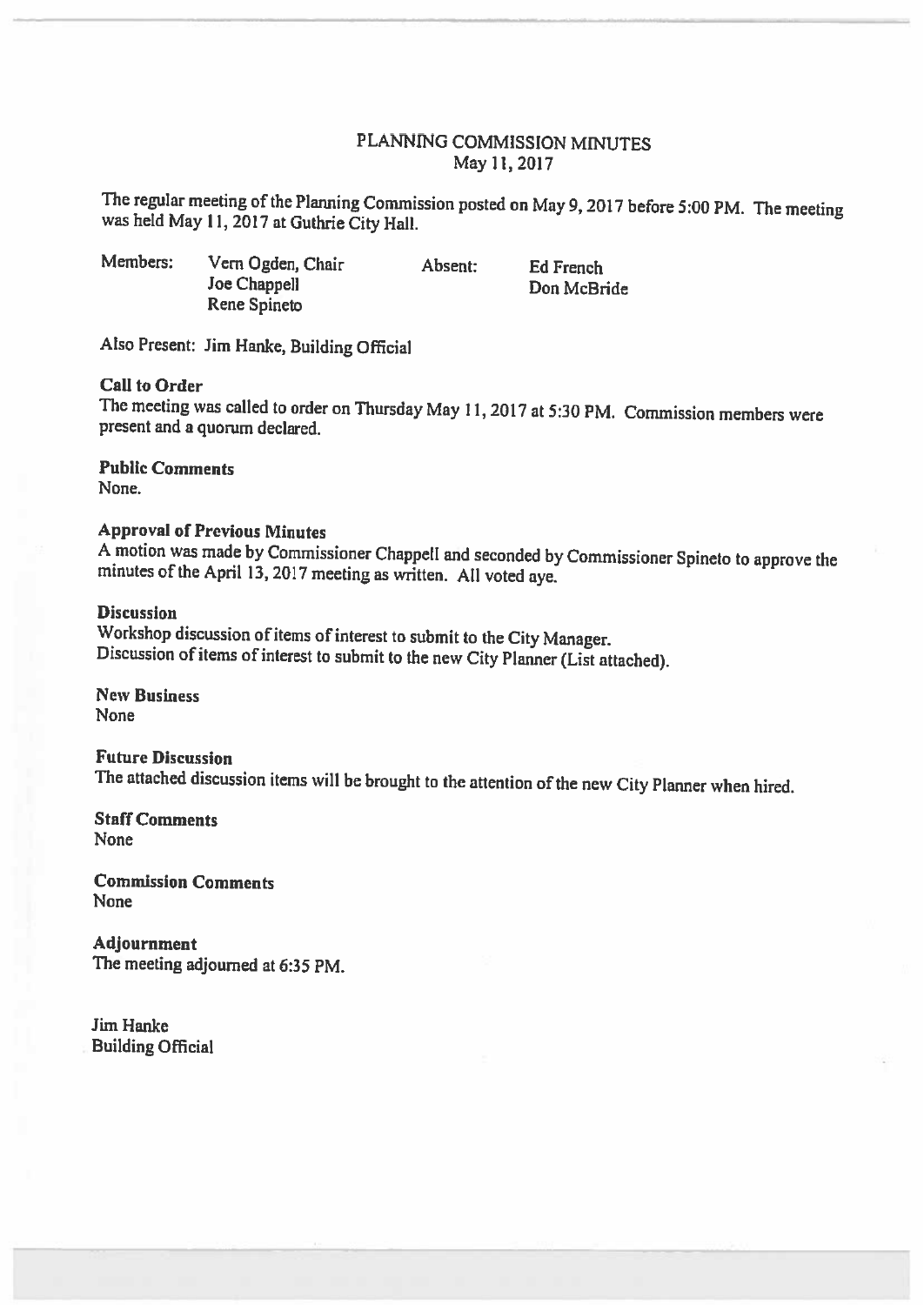# PLANNING COMMISSION MINUTES May 11,2017

The regular meeting of the Planning Commission posted on May 9, 2017 before 5:00 PM. The meeting was held May 11, 2017 at Guthrie City Hall.

Members: Vern Ogden, Chair Absent: Ed French **Joe Chappell** Don McBride Rene Spineto

Also Present: Jim Hanke, Building Official

# Call to Order

The meeting was called to order on Thursday May 11,2017 at 5:30 PM. Commission members were present and <sup>a</sup> quorum declared.

Public Comments None.

### Approval of Previous Minutes

<sup>A</sup> motion was made by Commissioner Chappell and seconded by Commissioner Spineto to approve the minutes of the April 13, <sup>2017</sup> meeting as written. All voted aye.

#### **Discussion**

Workshop discussion of items of interest to submit to the City Manager. Discussion of items of interest to submit to the new City Planner (List attached).

New Business None

Future Discussion The attached discussion items will be brought to the attention of the new City Planner when hired.

Staff Comments None

Commission Comments None

Adjournment The meeting adjourned at 6:35 PM.

Jim Hanke Building Official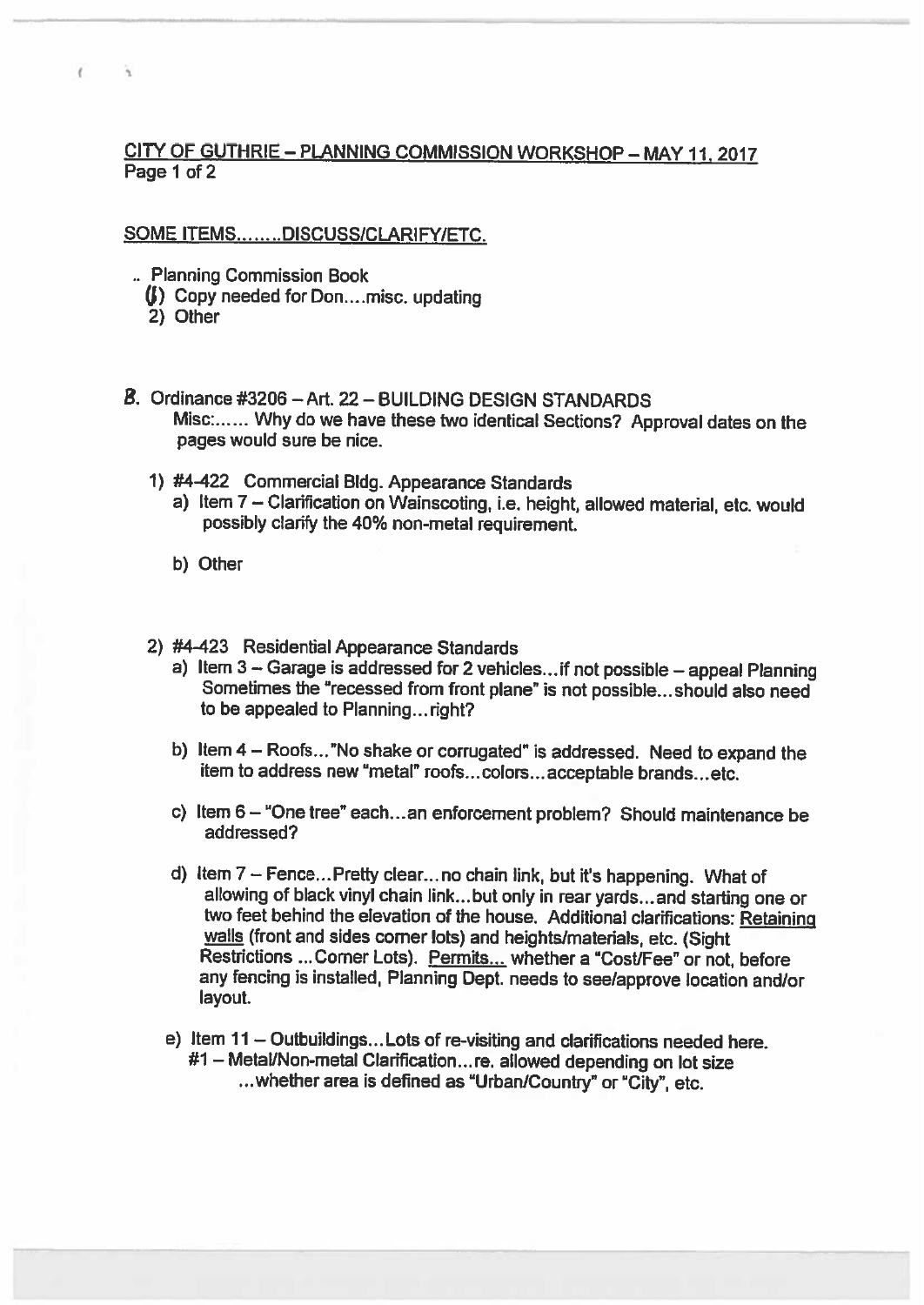# CITY OF GUTHRIE — PLANNING COMMISSION WORKSHOP — MAY11. 2017 Page 1 of 2

# SOME ITEMS.......DISCUSS/CLARIFY/ETC.

- Planning Commission Book
	- (b) Copy needed for Don....misc. updating<br>2) Other
	-

 $\epsilon$ 

Ä.

- a Ordinance #3205 Art. 22— BUILDING DESIGN STANDARDS Misc:...... Why do we have these two identical Sections? Approval dates on the pages would sure be nice.
	- 1) #4422 Commercial Bldg. Appearance Standards
		- a) Item 7—Clarification on Wainscoting, i.e. height, allowed material, etc. would possibly clarify the 40% non-metal requirement.
		- b) Other
	-
	- 2) #4-423 Residential Appearance Standards<br>a) Item 3 Garage is addressed for 2 vehicles...if not possible appeal Planning Sometimes the "recessed from front plane" is not possible... should also need to be appealed to Planning... right?
		- b) Item <sup>4</sup> Roofs... "No shake or corrugated" is addressed. Need to expand the item to address new "metal" roofs...colors. .. acceptable brands...etc.
		- c) Item 6— "One tree" each.. .an enforcement problem? Should maintenance be addressed?
		- d) Item <sup>7</sup> Fence... Pretty clear.., no chain link, but it's happening. What of allowing of black vinyl chain link. ..but only in rear yards... and starting one or two feet behind the elevation of the house. Additional clarifications: Retaining walls (front and sides corner lots) and heights/materials, etc. (Sight Restrictions ...Corner Lots). Permits... whether <sup>a</sup> "Cost/Fee" or not, before any fencing is installed, Planning Dept. needs to see/approve location and/or layout.
		- e) Item <sup>11</sup> Outbuildings... Lots of re-visiting and clarifications needed here. #1 — Metal/Non-metal Clarification... re. allowed depending on lot size ... whether area is defined as "Urban/Country" or "City", etc.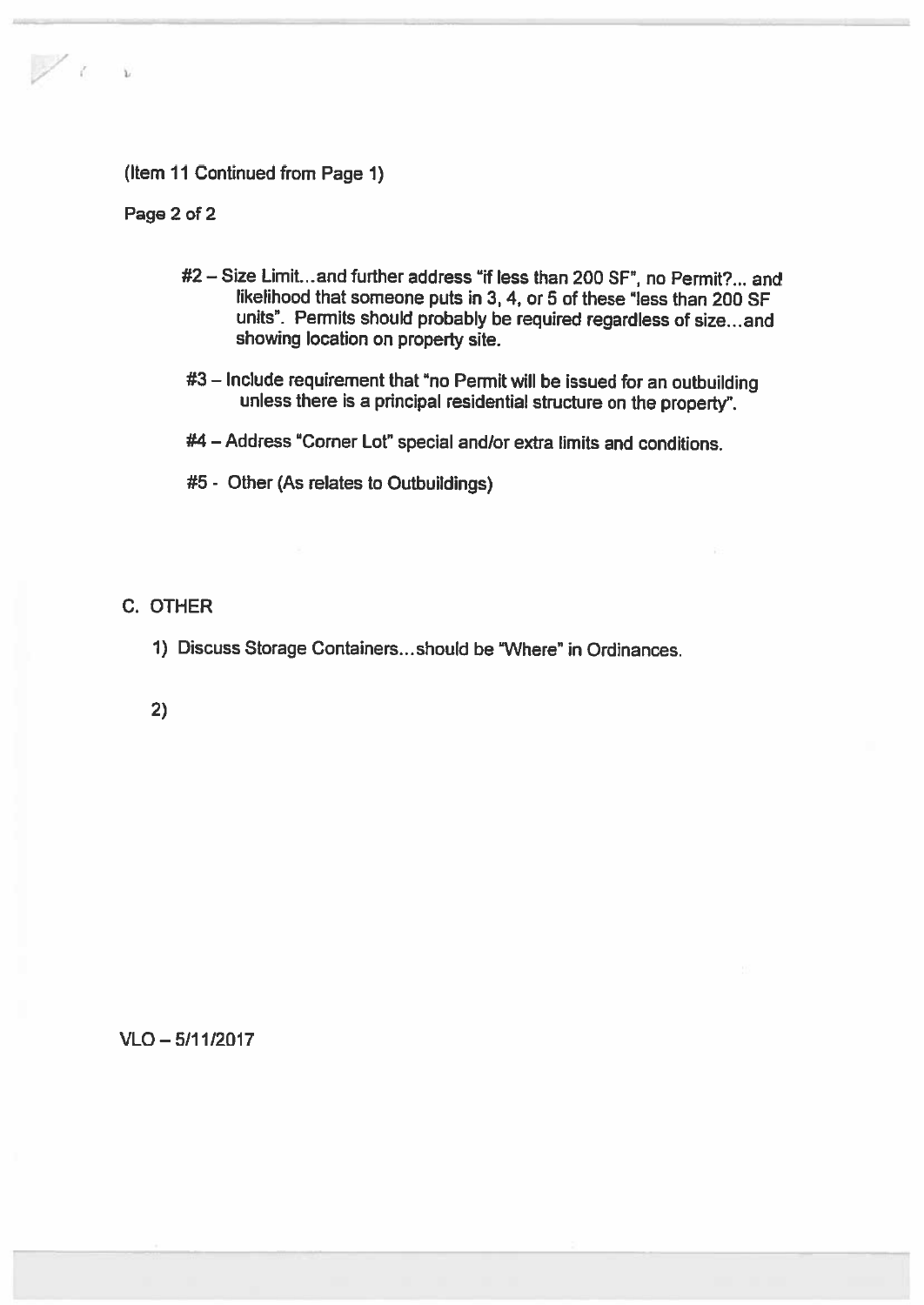# (Item 11 Continued from Page 1)

Page 2 of 2

 $\frac{1}{2}$ 

- #2 Size Limit.., and further address "if less than 200 SF", no Permit?.., and likelihood that someone puts in 3, 4, or 5 of these "less than 200 SF units". Permits should probably be required regardless of size... and showing location on property site.
- #3 Include requirement that "no Permit will be issued for an outbuilding unless there is <sup>a</sup> principal residential structure on the property".
- #4 Address "Corner Lot" special andlor extra limits and conditions.
- #5 Other (As relates to Outbuildings)

# C. OTHER

1) Discuss Storage Containers...should be "Where" in Ordinances.

2)

### VLO — 5/11/2017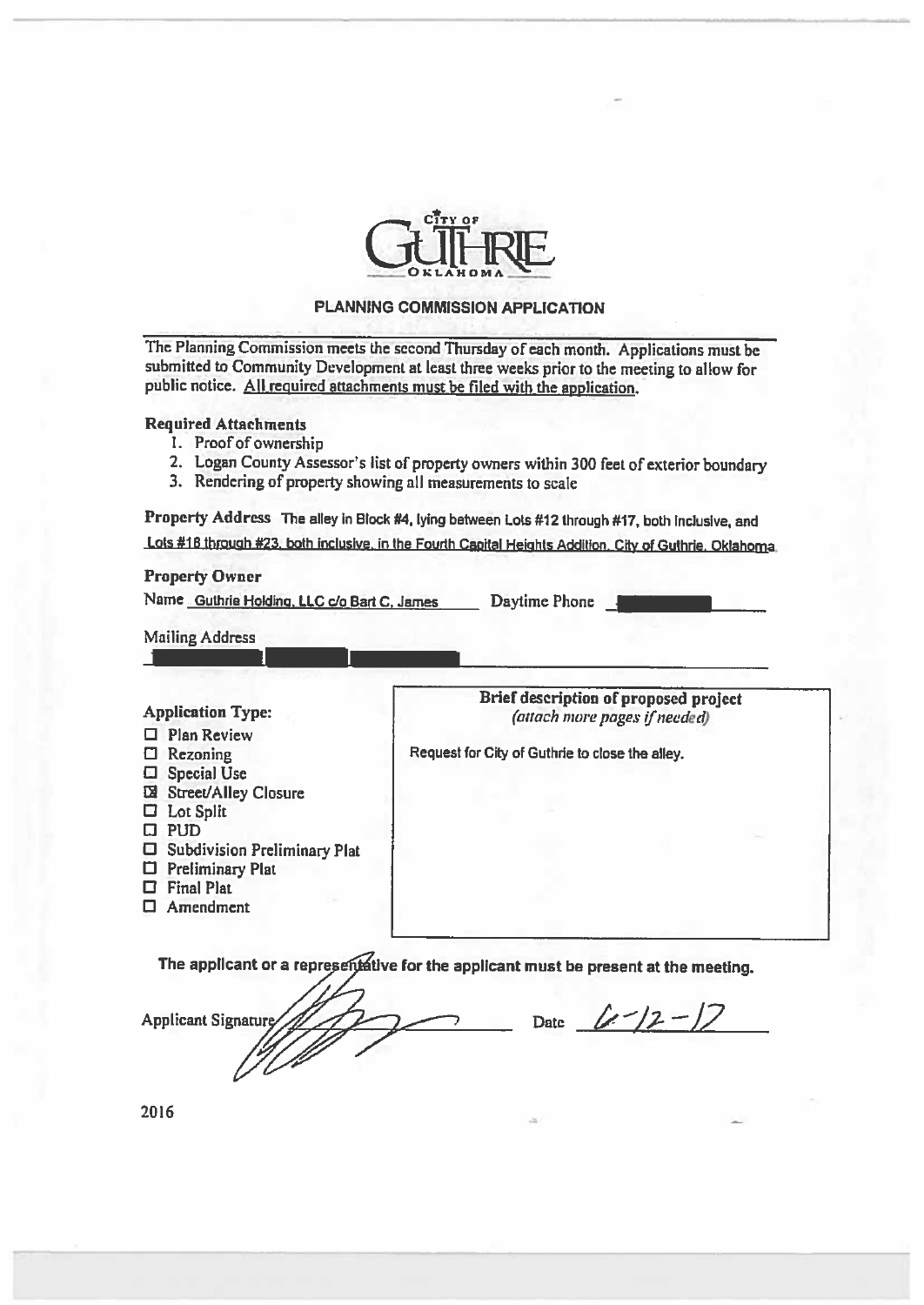

#### PLANNING COMMISSION APPLICATION

The Planning Commission meets the second Thursday of each month. Applications must be submitted to Community Development at least three weeks prior to the meeting to allow for public notice. All required attachments must be filed with the application.

### Required Attachments

- 1. Proof of ownership
- 2. Logan County Assessor's list of property owners within <sup>300</sup> feet of exterior boundary
- 3. Rendering of property showing all measurements to scale

Property Address The alley in Block #4, lying between Lots #12 through #17, both Inclusive, and Lois #18 through #23, both inclusive, in the Fourth Capital Heights Addition. City of Guthrie. Oklahoma.

#### Property Owner

Name Guthrie Holding, LLC c/o Bart C, James Daytime Phone

Mailing Address

- $\Box$  Plan Review
- 
- C Special Use
- W Street/Alley Closure
- C Lot Split
- $\square$  PUD
- C Subdivision Preliminary Phil
- C Preliminary Plat
- C Final Piat
- $\Box$  Amendment

Application Type: **EXECUTE:** Brief description of proposed project Application Type: (attach more pages if needed)

 $\Box$  Rezoning Request for City of Guthrie to close the alley.

The applicant or a representative for the applicant must be present at the meeting.

**Applicant Signature** 

Date  $(L^{-}/2 - 1)$ 

2016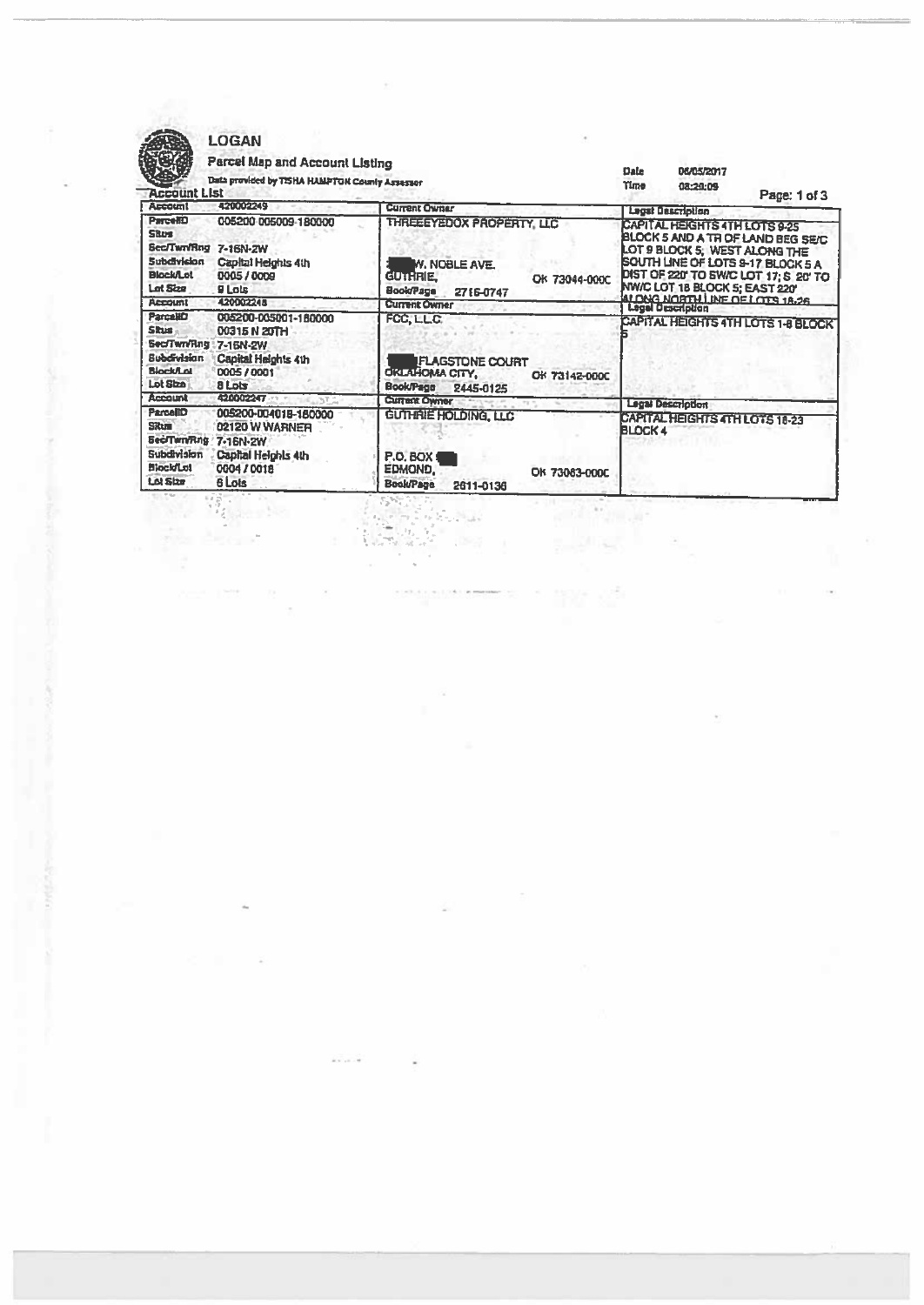

# LOGAN<br>Time! Mar

 $\lambda$  and  $\lambda$  . The  $\lambda$  -  $\lambda$ 

 $\bar{\chi}$ 

| <b>Account List</b><br><b>Account</b>                                                                         | 420002249                                                                              | <b>Current Owner</b>                                                                                                  |                | <b>Lagst Beactiplion</b>                                                                         | Page: 1 of 3                                                                                                         |
|---------------------------------------------------------------------------------------------------------------|----------------------------------------------------------------------------------------|-----------------------------------------------------------------------------------------------------------------------|----------------|--------------------------------------------------------------------------------------------------|----------------------------------------------------------------------------------------------------------------------|
| Parce <b>(1)</b><br><b>SRUS</b><br>Sec/Twn/Rng 7-16N-ZW<br><b>Subdivicion</b><br><b>Blockfiet</b><br>Lot Size | 005200-005009-180000<br>Capital Heights 4th<br>0005 / 0009<br>9 Lots                   | THREEEYEDOX PROPERTY, LLC<br><b>W. NOBLE AVE.</b><br><b>GUTHRIE</b><br>OK 73044-000C<br><b>Book/Page</b><br>2716-0747 |                | CAPITAL HEIGHTS 4TH LOTS 9-25<br>LOT 9 BLOCK 5, WEST ALONG THE<br>NW/C LOT 18 BLOCK 5; EAST 220' | BLOCK 5 AND A TH OF LAND BEG SE/C<br><b>SOUTH LINE OF LOTS 9-17 BLOCK 5 A</b><br>DIST OF 220 TO SW/C LOT 17; S 20 TO |
| <b>Account</b>                                                                                                | 420002248                                                                              | <b>Current Owner</b>                                                                                                  |                | ALONG NORTH LINE OF LOTS 18.26                                                                   |                                                                                                                      |
| <b>ParceliD</b><br><b>Skus</b><br>Sec/Twn/Rng 7-16N-2W<br>Bubdivisian<br><b>Biock/Lot</b><br>Lot Sha          | 005200-005001-180000<br>00315 N 20TH<br>Capital Heights 4th<br>000570001<br>a Lots     | FCC, LLC.<br><b>FLAGSTONE COURT</b><br><b>OKLAHOMA CITY,</b><br>OK 73142-000C<br><b>Book/Page</b><br>2445-0125        |                |                                                                                                  | CAPITAL HEIGHTS 4TH LOTS 1-8 BLOCK                                                                                   |
| <b>Account</b>                                                                                                | 420002247                                                                              | <b>Current Owner</b>                                                                                                  |                | <b>Legal Description</b>                                                                         |                                                                                                                      |
| ParcellD<br><b>Situm</b><br>Bed/Twn/Rng / 7-16N-2W<br>Subdivision<br><b>BiockfLot</b><br>Lot Size             | 005200-004018-180000<br>02120 W WARNER<br>Capital Heighls 4th<br>0004 / 0018<br>6 Lots | <b>GUTHRIE HOLDING, LLC</b><br><b>P.O. BOX (</b><br>EDMOND,<br>OK 73083-000C<br><b>Book/Page</b><br>2611-0136         | <b>BLOCK 4</b> | CAPITAL HEIGHTS 4TH LOTS 18-23                                                                   |                                                                                                                      |

 $\overline{\alpha}$ 

部位 近

 $\overline{\Sigma}$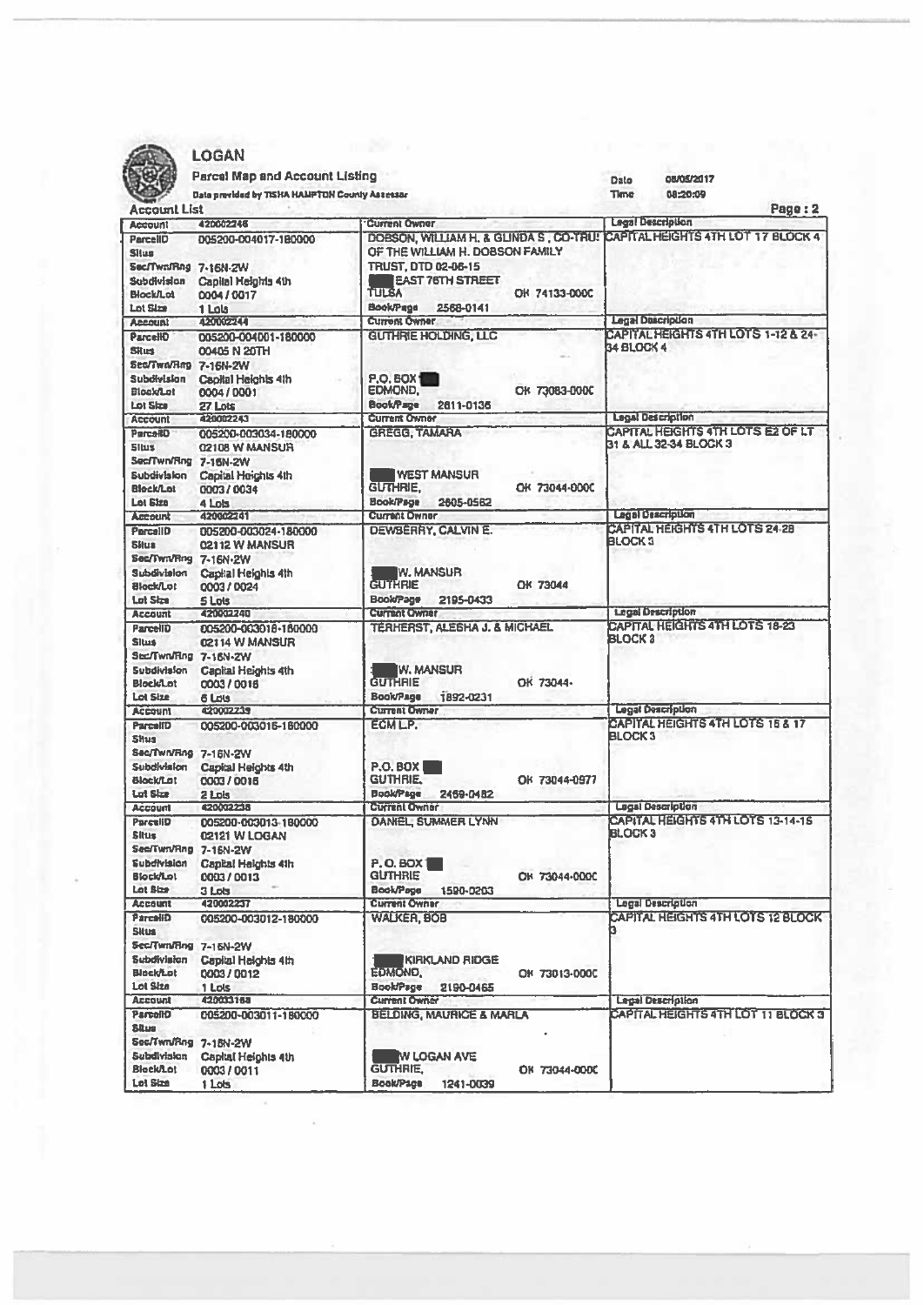

|                      | <b>LOGAN</b>                                   |                                                                            |                                                                   |
|----------------------|------------------------------------------------|----------------------------------------------------------------------------|-------------------------------------------------------------------|
|                      | <b>Parcel Map and Account Listing</b>          |                                                                            | 08/05/2017<br>Date                                                |
|                      | Data provided by TISHA HAMPTON County Assessor | Time<br>08:20:09                                                           |                                                                   |
| <b>Account List</b>  |                                                |                                                                            | Page: 2                                                           |
| <b>Account</b>       | 420002245                                      | <b>Current Owner</b>                                                       | <b>Legal Description</b>                                          |
| ParcellD             | 005200-004017-180000                           | DOBSON, WILLIAM H. & GLINDA S., CO-TRU! CAPITAL HEIGHTS 4TH LOT 17 BLOCK 4 |                                                                   |
| Situs                |                                                | OF THE WILLIAM H. DOBSON FAMILY                                            |                                                                   |
| Sec/Twn/Rng 7-16N-ZW |                                                | TRUST, DTD 02-06-15                                                        |                                                                   |
| Subdivision          | Capilal Heights 4th                            | <b>EAST 76TH STREET</b>                                                    |                                                                   |
| Block/Lot            | 0004 / 0017                                    | <b>TULSA</b><br>OK 74133-000C                                              |                                                                   |
| <b>Lot Size</b>      | 1 Lols                                         | <b>BookPage</b><br>2568-0141                                               |                                                                   |
| <b>Account</b>       | 440062244                                      | <b>Current Owner</b>                                                       | <b>Legal Description</b>                                          |
| <b>ParcellO</b>      | 005200-004001-180000                           | <b>GUTHRIE HOLDING, LLC</b>                                                | <b>CAPITAL HEIGHTS 4TH LOTS 1-12 &amp; 24-</b>                    |
| <b>Situs</b>         | 00405 N 20TH                                   |                                                                            | <b>34 BLOCK 4</b>                                                 |
| Sec/Two/Rng 7-16N-2W |                                                |                                                                            |                                                                   |
| Subdivision          | Capital Helchis 4th                            | <b>P.O. BOX</b>                                                            |                                                                   |
| <b>Blockflat</b>     | 0004 / 0001                                    | <b>EDMOND.</b><br>OK 73083-000C                                            |                                                                   |
| Lot Size             | 27 Lots                                        | <b>BookPage</b><br>2611-0135                                               |                                                                   |
| <b>Account</b>       | 120002241                                      | <b>Current Owner</b>                                                       | <b>Legal Description</b>                                          |
| ParceRD              | 005200-003034-180000                           | <b>GREGG, TAMARA</b>                                                       | <b>CAPITAL HEGHTS 4TH LOTS E2 OF LT</b>                           |
| <b>Situs</b>         | 02108 W MANSUR                                 |                                                                            | 31 & ALL 32-34 BLOCK 3                                            |
| Sec/Twn/Rng 7-16N-2W |                                                |                                                                            |                                                                   |
| <b>Subdivision</b>   | Capital Heichts 4th                            | <b>WEST MANSUR</b>                                                         |                                                                   |
| <b>Block/Lat</b>     | 0003/0034                                      | <b>GUTHRIE.</b><br>OK 73044-000C                                           |                                                                   |
| Lot Elza             | 4 Lots                                         | <b>Book/Page</b><br>2605-0562                                              |                                                                   |
| <b>Amount</b>        | 420002241                                      | <b>Current Owner</b>                                                       | Legal Description                                                 |
| ParcellD             | 005200-003024-180000                           | <b>DEWBERRY, CALVIN E.</b>                                                 | <b>CAPITAL HEIGHTS 4TH LOTS 2428</b>                              |
| Silus                | 02112 W MANSUR                                 |                                                                            | <b>BLOCK 3</b>                                                    |
| Sec/Twn/Rng 7-16N-2W |                                                |                                                                            |                                                                   |
| Subdivision          | Capital Heights 4th                            | W. MANSUR                                                                  |                                                                   |
| <b>Blockflot</b>     | 0003/0024                                      | <b>GUTHRIE</b><br>OK 73044                                                 |                                                                   |
| <b>Lot Size</b>      | <b>Sints</b>                                   | <b>Book/Page</b><br>2195-0433                                              |                                                                   |
| <b>Account</b>       | 420002240                                      | <b>Current Owner</b>                                                       | <b>Legal Description</b><br><b>CAPITAL HEIGHTS 4TH LOTS 18-23</b> |
| <b>ParcelID</b>      | 005200-003018-160000                           | <b>TERHERST, ALESHA J. &amp; MICHAEL</b>                                   | <b>BLOCK 3</b>                                                    |
| <b>Situs</b>         | 02114 W MANSUR                                 |                                                                            |                                                                   |
| Sec/Twn/Rng 7.16N-2W |                                                |                                                                            |                                                                   |

| Subdivision<br><b>BlockfLot</b><br><b>Lot Size</b>                                                                  | Capital Heights 4th<br>0003/0024                                                           | IW. MANSUR<br><b>GUTHRIE</b><br>OK 73044<br><b>Book/Page</b><br>2195-0433                                                      |                                                     |
|---------------------------------------------------------------------------------------------------------------------|--------------------------------------------------------------------------------------------|--------------------------------------------------------------------------------------------------------------------------------|-----------------------------------------------------|
| <b>Account</b>                                                                                                      | 5 Lots<br>420002240                                                                        | <b>Current Owner</b>                                                                                                           | <b>Legal Description</b>                            |
| <b>ParcelID</b><br><b>Slus</b><br>Sec/Twn/Rng 7-16N-2W<br>Subdivision<br><b>Block/Lot</b><br>Lot Size               | 005200-003018-160000<br>02114 W MANSUR<br>Capital Heights 4th<br>0003/0016<br>6 Lots       | TERHERST, ALESHA J. & MICHAEL<br>W. MANSUR<br><b>GUTHRIE</b><br>OK 73044-<br><b>Book/Page</b><br>1892-0231                     | CAPITAL HEIGHTS 4TH LOTS 18-23<br>BLOCK 3           |
| <b>Account</b>                                                                                                      | 420002239                                                                                  | <b>Current Owner</b>                                                                                                           | <b>Legal Description</b>                            |
| <b>ParcelID</b><br><b>Shus</b><br>Sec/Twn/Rng 7-16N-2W<br>Subdivision<br><b>Blockfiet</b><br>Lat Size               | 005200-003016-180000<br>Capital Heights 4th<br>0003/0016<br>2 Lols                         | ECMLP.<br><b>P.O. BOX</b><br><b>GUTHRIE</b><br>OK 73044-0977<br><b>BookPage</b><br>2469-0482                                   | <b>CAPITAL HEIGHTS ATHLOTS THAT?</b><br>BLOCK 3     |
| <b>Account</b>                                                                                                      | 420002248                                                                                  | <b>Current Owner</b>                                                                                                           | <b>Legal Description</b>                            |
| <b>ParcellD</b><br><b>Situs</b><br>Sec/Twn/Rng 7-16N-2W<br><b>Subdivision</b><br><b>Biock/Lot</b><br>Lot Size       | 005200-003013-180000<br>02121 W LOGAN<br><b>Capital Helghts 4th</b><br>0003/0013<br>3 Lots | <b>DANIEL SUMMER LYNN</b><br>P.O.BOX<br><b>GUTHRIE</b><br>OK 73044-000C<br><b>Book/Page</b><br>1590-0203                       | <b>CAPITAL HEIGHTS 4TH LOTS 13-14-15</b><br>BLOCK 3 |
| <b>Account</b>                                                                                                      | 420002237                                                                                  | <b>Current Owner</b>                                                                                                           | <b>Legal Description</b>                            |
| <b>ParceliD</b><br><b>Situs</b><br>Sec/Twn/Rng 7-16N-2W<br>Subdivision<br><b>Blockflot</b><br>Lot Size              | 005200-003012-180000<br>Capital Heights 4th<br>0003/0012<br>1 Lots                         | <b>WALKER, BOB</b><br>KIRKLAND RIDGE<br><b>EDMOND.</b><br>OK 73013-000C<br><b>Book/Page</b><br>2190-0465                       | <b>EAPITAL HEIGHTS ATHLOTS TABLE COK</b>            |
| <b>Account</b>                                                                                                      | 420033158                                                                                  | <b>Current Owner</b>                                                                                                           | <b>Legal Description</b>                            |
| <b>ParcellO</b><br><b>SRug</b><br>Sec/Twn/Rng 7-15N-2W<br><b>Subdivision</b><br><b>Block/Lot</b><br><b>Lol Size</b> | 005200-003011-180000<br>Capital Heights 4th<br>0003/0011<br>1 Lots                         | <b>BELDING, MAURICE &amp; MARLA</b><br><b>M LOGAN AVE</b><br><b>GUTHRIE.</b><br>OK 73044-0000<br><b>Book/Page</b><br>1241-0039 | <b>CAPITAL HEIGHTS 4TH LOT 11 BLOCK 3</b>           |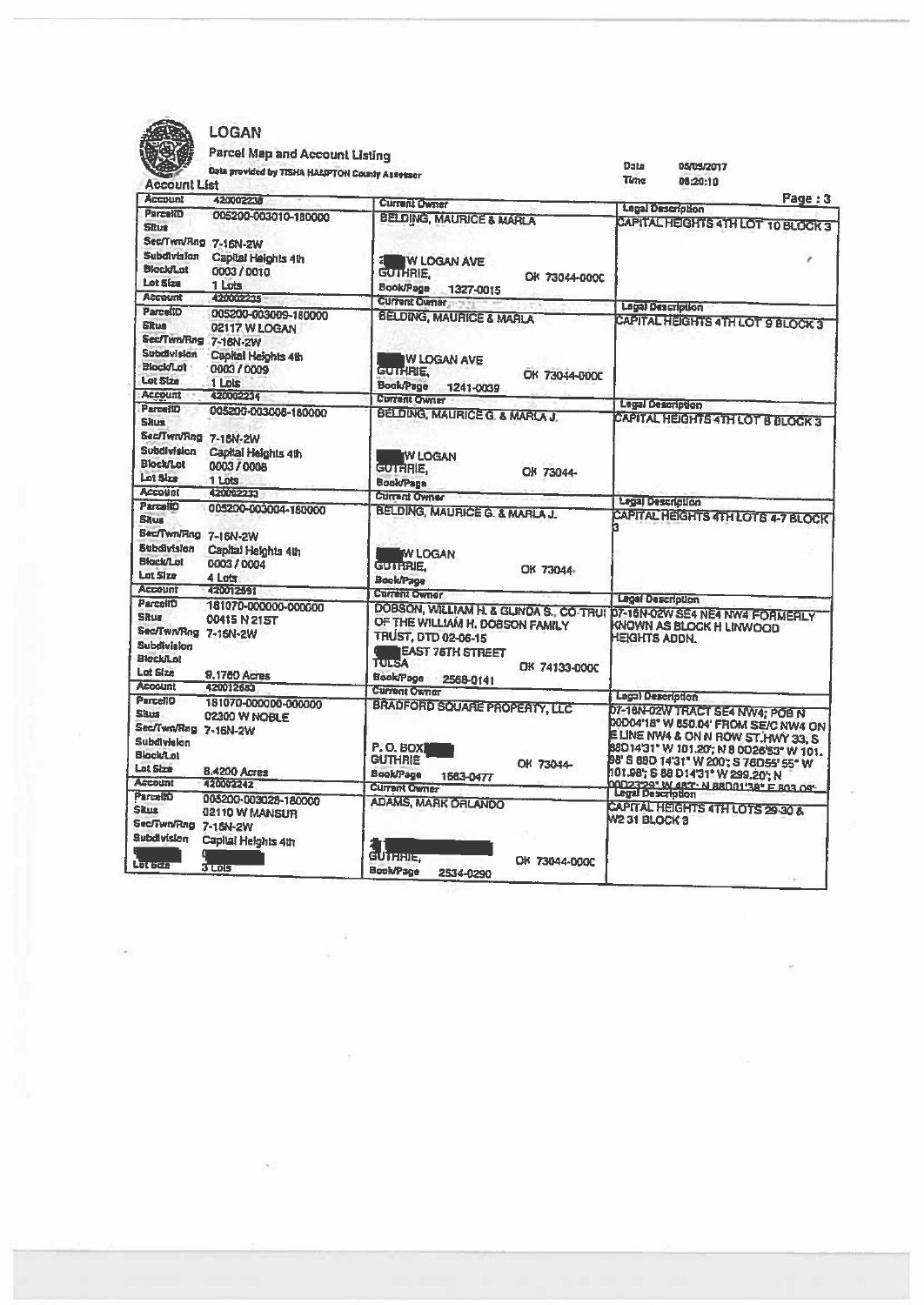

# LOGAN

# Parcel Map and Account Listing

| Account List                                                                                   | Data provided by TISHA HALSPTON County Assessor                                         |                                                                                                                                                                                                                                       | Data<br>05/05/2017<br>Time<br>08:20:10                                                                                                                                                                |
|------------------------------------------------------------------------------------------------|-----------------------------------------------------------------------------------------|---------------------------------------------------------------------------------------------------------------------------------------------------------------------------------------------------------------------------------------|-------------------------------------------------------------------------------------------------------------------------------------------------------------------------------------------------------|
| <b>Account</b>                                                                                 | 420002238                                                                               | <b>Current Owner</b>                                                                                                                                                                                                                  | Page: 3                                                                                                                                                                                               |
| <b>ParcellD</b><br><b>Shoe</b>                                                                 | 005200-003010-180000                                                                    | <b>BELDING, MAURICE &amp; MARLA</b>                                                                                                                                                                                                   | <b>Legal Description</b><br>CAPITAL HEIGHTS 4TH LOT 10 BLOCK 3                                                                                                                                        |
| Sec/Twn/Rng 7-16N-2W<br>Subdivision<br><b>Blockflat</b><br>Lot Size                            | Capital Heights 4th<br>0003/0010<br>1 Lots                                              | IW LOGAN AVE<br><b>GUTHRIE.</b><br>OK 73044-000C<br><b>Book/Page</b><br>1327-0015                                                                                                                                                     |                                                                                                                                                                                                       |
| <b>Account</b>                                                                                 | 420002235                                                                               | <b>Current Owner:</b>                                                                                                                                                                                                                 |                                                                                                                                                                                                       |
| ParcellD<br><b>Skus</b><br>Sec/Twn/Rng 7-16N-2W<br>Subdivision<br><b>Blockflat</b><br>Lot Size | 005200-003009-180000<br>02117 W LOGAN<br>Capital Heights 4th<br>0003 / 0009<br>$1$ Lots | <b>BELDING, MAURICE &amp; MARLA</b><br><b>W LOGAN AVE</b><br><b>GUTHRIE</b><br>OK 73044-000C<br><b>Book/Page</b><br>1241-0039                                                                                                         | <b>Legal Description</b><br>CAPITAL HEIGHTS 4TH LOT 9 BLOCK 3                                                                                                                                         |
| <b>Account</b>                                                                                 | 420002214                                                                               | Current Owner                                                                                                                                                                                                                         | <b>Legal Description</b>                                                                                                                                                                              |
| <b>ParcellO</b><br><b>Skus</b><br>Sec/Twn/Rng 7-15N-2W<br><b>Subdivision</b>                   | 005200-003008-160000<br>Capital Heights 4th                                             | <b>BELDING, MAURICE G. &amp; MARLA J.</b><br><b>IW LOGAN</b>                                                                                                                                                                          | CAPITAL HEIGHTS 4TH LOT B BLOCK 3                                                                                                                                                                     |
| <b>Block/Lot</b><br>Lot Size<br><b>Account</b>                                                 | 0003 / 0008<br>1 Lots<br>120002231                                                      | GUTHRIE.<br>OK 73044-<br><b>Book/Page</b>                                                                                                                                                                                             |                                                                                                                                                                                                       |
| ParcellO                                                                                       | 005200-003004-180000                                                                    | <b>Current Owner</b><br>BELDING, MAURICE G. & MARLA J.                                                                                                                                                                                | Legal Description                                                                                                                                                                                     |
| <b>Situs</b><br>Sec/Twn/Rng 7-16N-2W<br>Subdivision<br>Block/Lot<br>Lot Size<br>Account        | Capital Heights 4th<br>0003 / 0004<br>4 Lots<br>420012691                               | <b>MY LOGAN</b><br><b>GUTHRIE.</b><br>OK 73044-<br><b>Book/Page</b>                                                                                                                                                                   | <b>CAPITAL HEIGHTS 4TH LOTS 4-7 BLOCK</b>                                                                                                                                                             |
| Parcelin                                                                                       |                                                                                         | <b>Current Owner</b>                                                                                                                                                                                                                  | <b>Legal Description</b>                                                                                                                                                                              |
| <b>Shur</b><br>Sec/Twn/Rng 7-16N-2W<br>Subdivision<br>BlackfLot<br>Lot Size<br><b>Acogunt</b>  | 181070-000000-000000<br>00415 N 215T<br>9.1760 Acres<br>420012681                       | DOBSON, WILLIAM H. & GLINDA S., CO-TRUI D7-16N-02W SE4 NE4 NW4 FORMERLY<br>OF THE WILLIAM H. DOBSON FAMILY<br><b>TRUST, DTD 02-06-15</b><br><b>EAST 76TH STREET</b><br><b>TULSA</b><br>OK 74133-000C<br><b>Book/Page</b><br>2568-0141 | KNOWN AS BLOCK H LINWOOD<br>HEKHTS ADDN.                                                                                                                                                              |
| <b>ParcellO</b>                                                                                | 181070-000000-000000                                                                    | <b>Current Owner</b>                                                                                                                                                                                                                  | Legal Description                                                                                                                                                                                     |
| <b>Shirs</b><br>Sec/Twn/Rng 7-16N-2W<br>Subdivision<br>Block/Lot<br>Lot Size                   | 02300 W NOBLE                                                                           | <b>BRADFORD SQUARE PROPERTY, LLC</b><br><b>P.O. BOX</b><br><b>GUTHRIE</b><br>OK 73044-                                                                                                                                                | D7-18N-02W TRACT SE4 NW4; POB N<br>00D04'18" W 850.04' FROM SE/C NW4 ON<br>E LINE NW4 & ON N ROW ST. HWY 33, S<br>88D14'31" W 101.20'; N 8 0D26'53" W 101.<br>98' S 88D 14'31" W 200': S 76D55' 55" W |
| <b>Account</b>                                                                                 | 8.4200 Acres                                                                            | Book/Page<br>1663-0477                                                                                                                                                                                                                | 101.98, S 88 D14'31" W 299.20" N                                                                                                                                                                      |
| <b>ParmillO</b>                                                                                | 420002242                                                                               | <b>Current Owner</b>                                                                                                                                                                                                                  | 0002329° W 483° N 8800138° E 803.09°.<br>Legal Description                                                                                                                                            |
| <b>Skus</b><br>Sec/Twn/Rng 7-15N-2W<br><b>Subdivision</b><br>Latana                            | 005200-003028-180000<br>02110 W MANSUR<br>Capital Heights 4th                           | <b>ADAMS, MARK ORLANDO</b><br>GUTHHIE,<br>OK 73044-000C                                                                                                                                                                               | <b>CAPITAL HEIGHTS 4TH LOTS 29-30 &amp;</b><br>W2 31 BLOCK 3                                                                                                                                          |
|                                                                                                | <b>3 Lois</b>                                                                           | Book/Page<br>2534-0290                                                                                                                                                                                                                |                                                                                                                                                                                                       |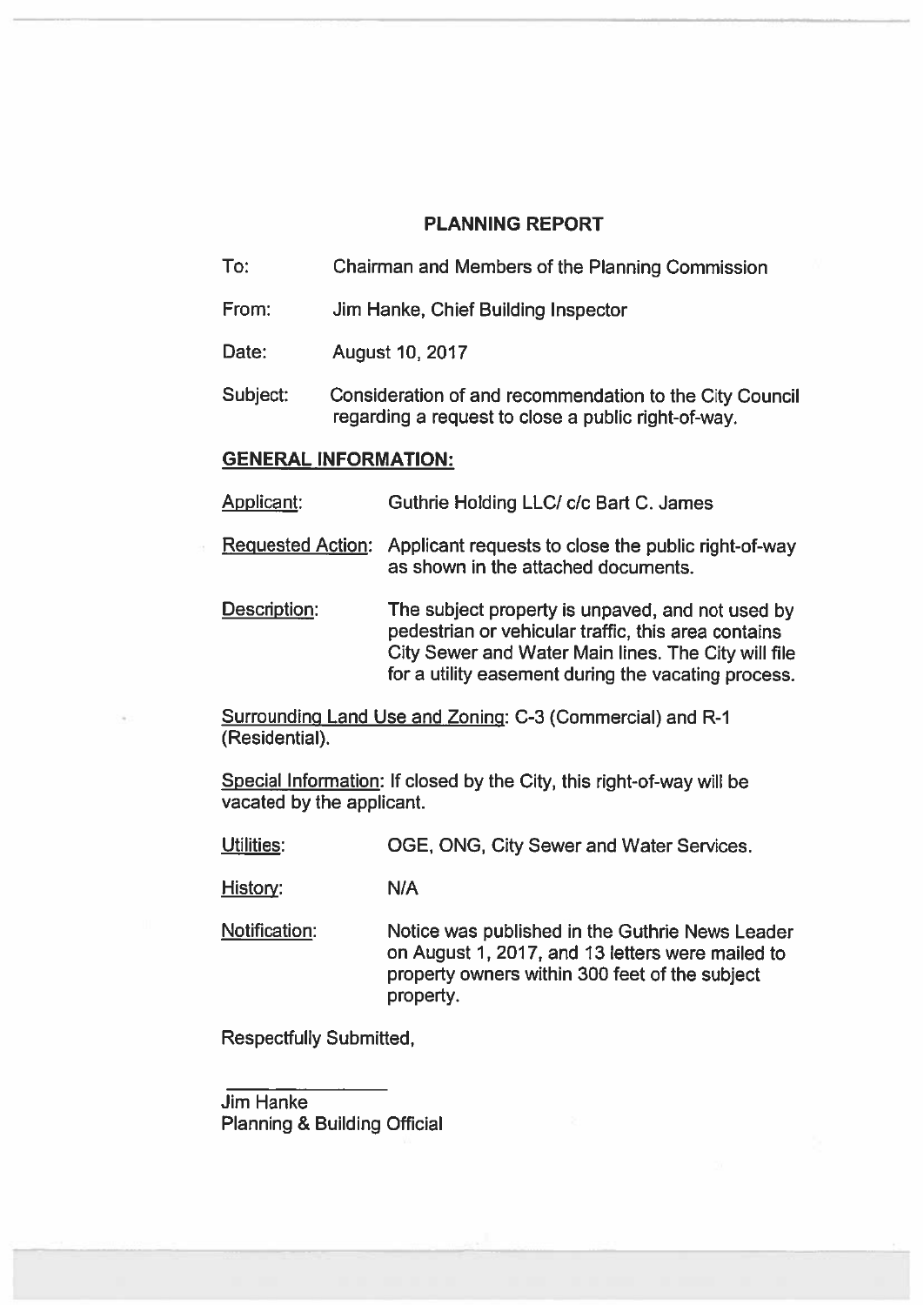# PLANNING REPORT

- To: Chairman and Members of the Planning Commission
- From: Jim Hanke, Chief Building Inspector
- Date: August 10, 2017
- Subject: Consideration of and recommendation to the City Council regarding <sup>a</sup> reques<sup>t</sup> to close <sup>a</sup> public right-of-way.

# GENERAL INFORMATION:

- Applicant: Guthrie Holding LLC/ c/c Bart C. James
- Requested Action: Applicant requests to close the public right-of-way as shown in the attached documents.
- Description: The subject property is unpaved, and not used by pedestrian or vehicular traffic, this area contains City Sewer and Water Main lines. The City will file for <sup>a</sup> utility easement during the vacating process.

Surrounding Land Use and Zoning: C-S (Commercial) and R-1 (Residential).

Special Information: If closed by the City, this right-of-way will be vacated by the applicant.

Utilities: OGE, ONG, City Sewer and Water Services.

History: N/A

Notification: Notice was published in the Guthrie News Leader on August 1, 2017, and 13 letters were mailed to property owners within 300 feet of the subject property.

Respectfully Submitted,

Jim Hanke Planning & Building Official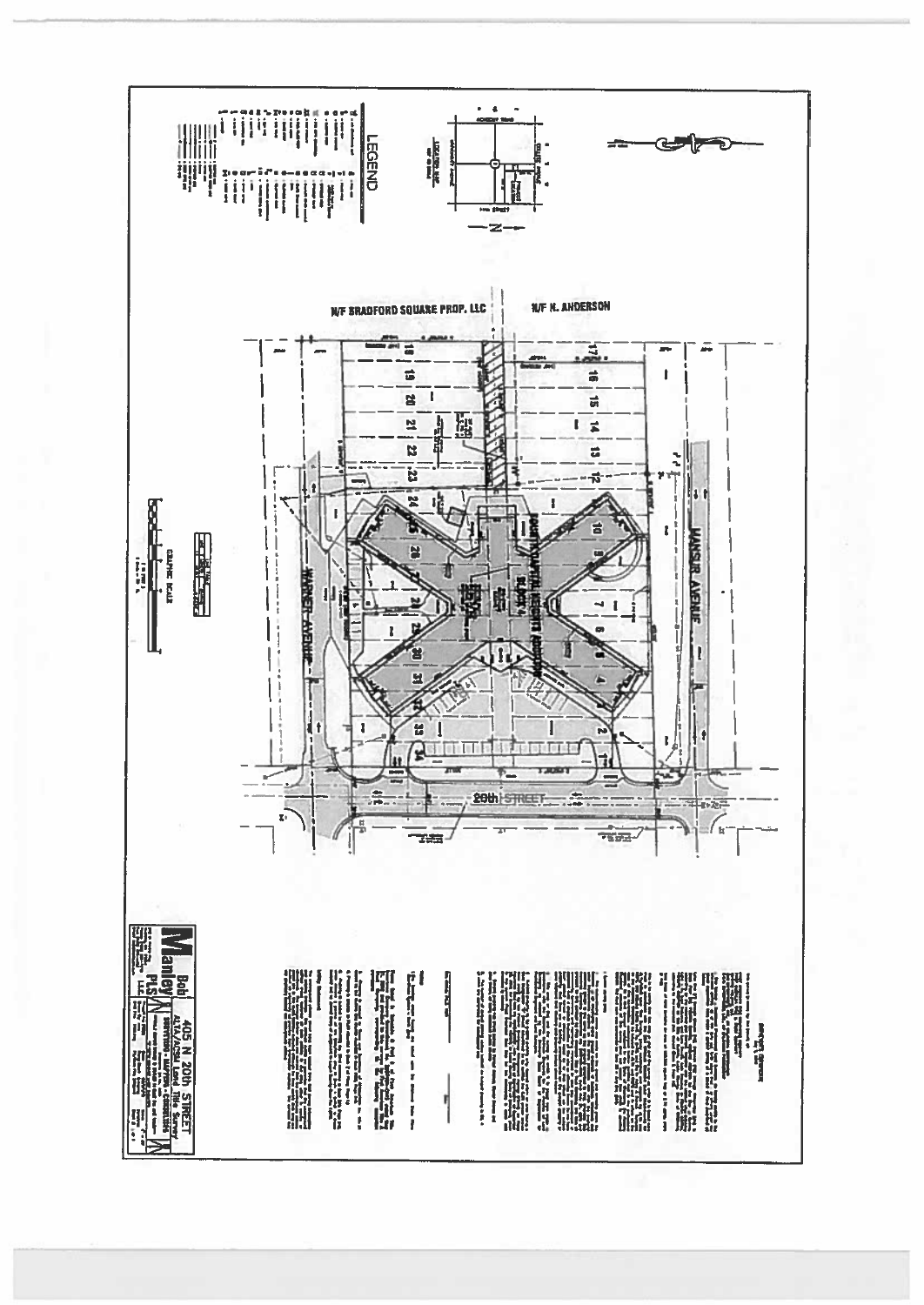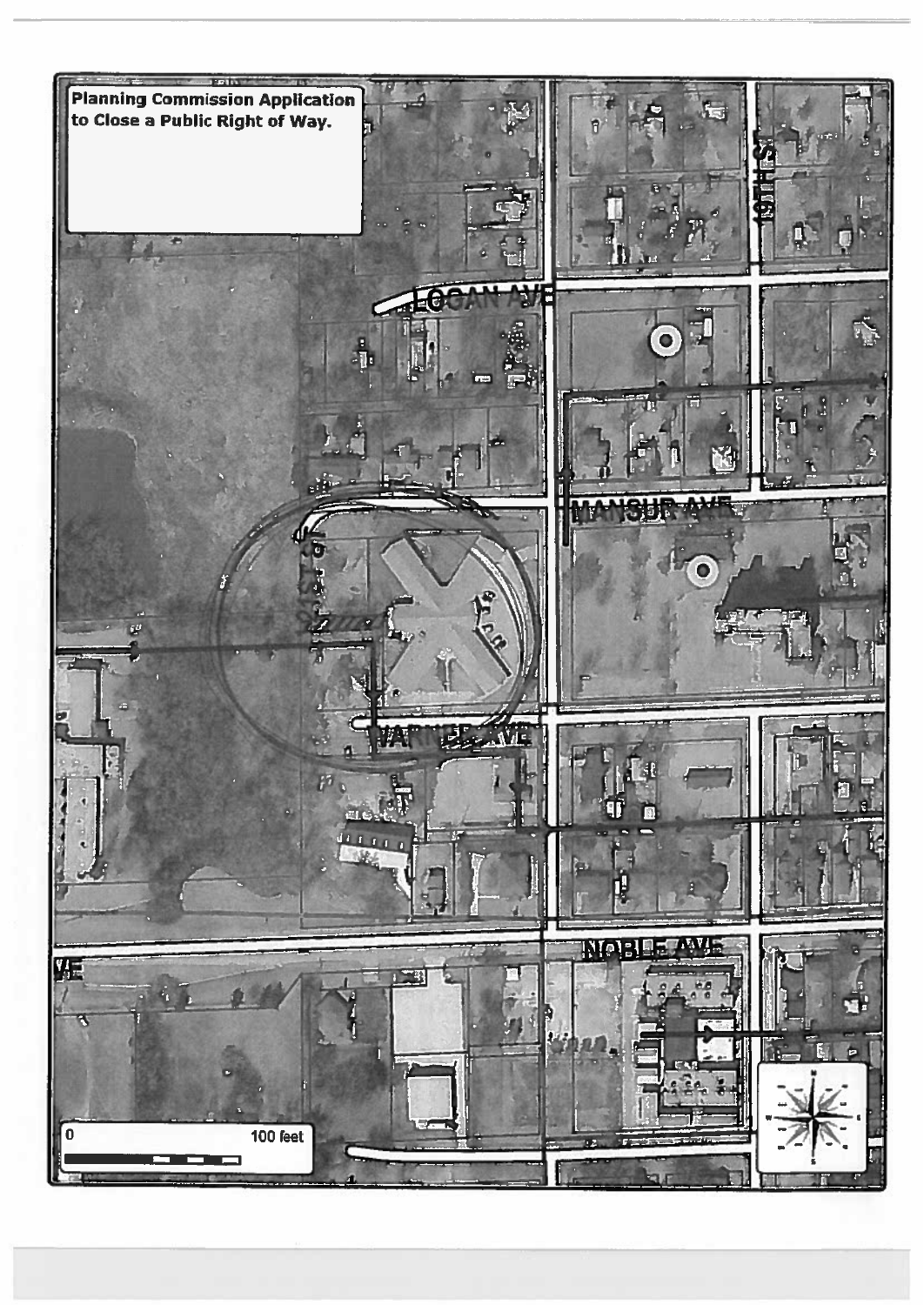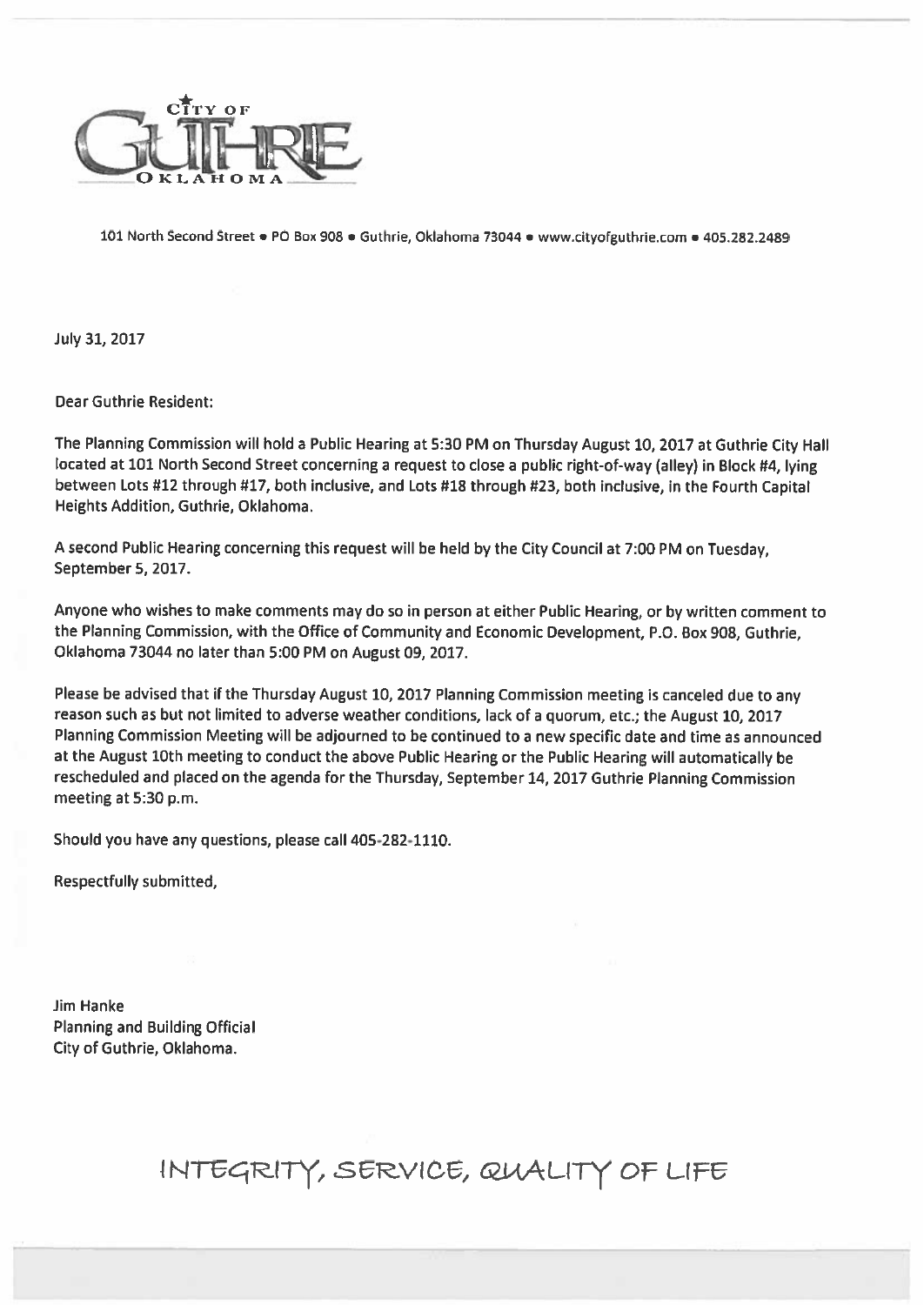

101 North Second Street • PO Box 908 · Guthrie, Oklahoma 73044 · www.cityofguthrie.com • 405.282.2489

July 31, 2017

Dear Guthrie Resident:

The Planning Commission will hold <sup>a</sup> Public Hearing at 5:30 PM on Thursday August 10, <sup>2017</sup> at Guthrie City Hall located at <sup>101</sup> North Second Street concerning <sup>a</sup> reques<sup>t</sup> to close <sup>a</sup> public right-of-way (alley) in Block #4, lying between Lots #12 through #17, both inclusive, and Lots #18 through #23, both inclusive, in the Fourth Capital Heights Addition, Guthrie, Oklahoma.

<sup>A</sup> second Public Hearing concerning this reques<sup>t</sup> will be held by the City Council at 7:00 PM on Tuesday, September 5, 2017.

Anyone who wishes to make comments may do so in person at either Public Hearing, or by written comment to the Planning Commission, with the Office of Community and Economic Development, P.O. Box 908, Cuthrie, Oklahoma <sup>73044</sup> no later than 5:00 PM on August 09, 2017.

Please be advised that if the Thursday August 10, <sup>2017</sup> Planning Commission meeting is canceled due to any reason such as but not limited to adverse weather conditions, lack of <sup>a</sup> quorum, etc.; the August 10, <sup>2017</sup> Planning Commission Meeting will be adjourned to be continued to <sup>a</sup> new specific date and time as announced at the August 10th meeting to conduct the above Public Hearing or the Public Hearing will automatically be rescheduled and <sup>p</sup>laced on the agenda for the Thursday, September 14, <sup>2017</sup> Guthrie Planning Commission meeting at 5:30 p.m.

Should you have any questions, please call 405-282-1110.

Respectfully submitted,

Jim Hanke Planning and Building Official City of Guthrie, Oklahoma.

# INTEGRITY, SERVICE, QUALITY OF LIFE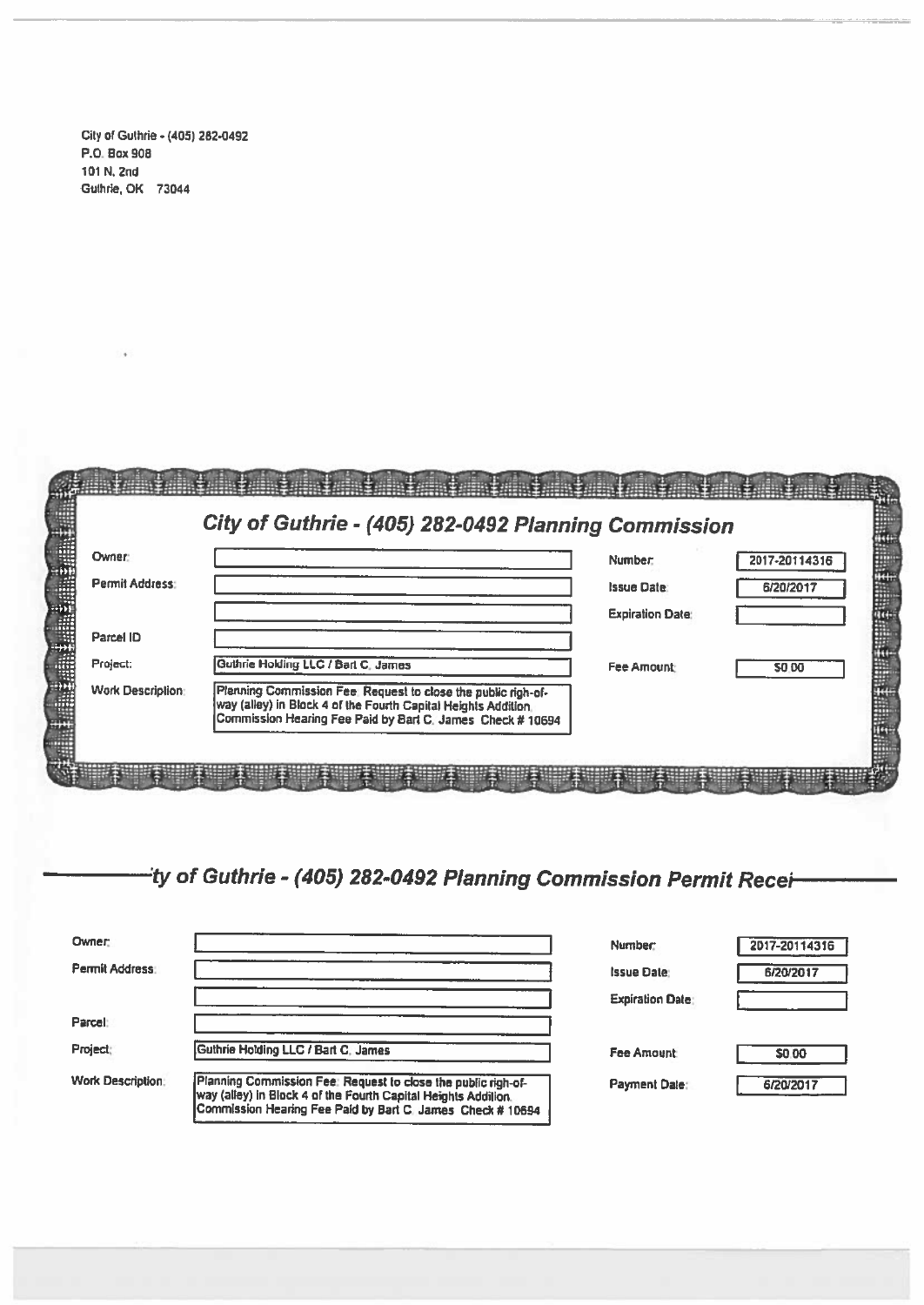City of Guthrie -(405) 262-0492 RD. Box 900 101 N.2nd Guthrie, OK 73044

|                          | City of Guthrie - (405) 282-0492 Planning Commission                                                                                                                                          |                         |               |
|--------------------------|-----------------------------------------------------------------------------------------------------------------------------------------------------------------------------------------------|-------------------------|---------------|
| Owner:                   |                                                                                                                                                                                               | Number:                 | 2017-20114316 |
| Permit Address:          |                                                                                                                                                                                               | <b>Issue Date:</b>      | 6/20/2017     |
|                          |                                                                                                                                                                                               | <b>Expiration Date:</b> |               |
| Parcel ID                |                                                                                                                                                                                               |                         |               |
| Project:                 | Guthrie Holding LLC / Bart C. James                                                                                                                                                           | <b>Fee Amount:</b>      | <b>SO 00</b>  |
| <b>Work Description:</b> | Planning Commission Fee: Request to close the public righ-of-<br>way (alley) in Block 4 of the Fourth Capital Heights Addition.<br>Commission Hearing Fee Paid by Bart C. James Check # 10694 |                         |               |

4' of Guthrie - (405) 282-0492 Planning Commission Permit Recei

| <b>Owner:</b>            |                                                                                                                                                                                               |                         |               |
|--------------------------|-----------------------------------------------------------------------------------------------------------------------------------------------------------------------------------------------|-------------------------|---------------|
|                          |                                                                                                                                                                                               | Number:                 | 2017-20114316 |
| <b>Permit Address:</b>   |                                                                                                                                                                                               | <b>Issue Date:</b>      | 6/20/2017     |
|                          |                                                                                                                                                                                               | <b>Expiration Date:</b> |               |
| Parcel:                  |                                                                                                                                                                                               |                         |               |
| Project:                 | Guthrie Holding LLC / Bart C. James                                                                                                                                                           | <b>Fee Amount:</b>      | <b>SO.00</b>  |
| <b>Work Description:</b> | Planning Commission Fee: Request to close the public righ-of-<br>way (alley) in Block 4 of the Fourth Capital Heights Addition.<br>Commission Hearing Fee Paid by Bart C. James Check # 10694 | <b>Payment Date:</b>    | 6/20/2017     |